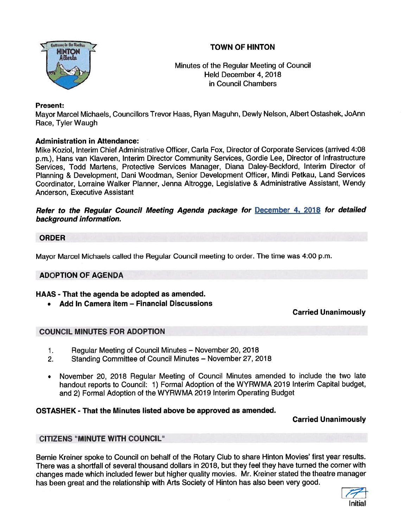# **TOWN OF HINTON**



,.. Minutes of the Regular Meeting of Council Held December 4, 2018 in Council Chambers

# Present:

Mayor Marcel Michaels, Councillors Trevor Haas, Ryan Maguhn, Dewly Nelson, Albert Ostashek, JoAnn Race, Tyler Waugh

# Administration in Attendance:

Mike Koziol, Interim Chief Administrative Officer, Carla Fox, Director of Corporate Services (arrived 4:08 p.m.), Hans van Klaveren, Interim Director Community Services, Gordie Lee, Director of Infrastructure Services, Todd Martens, Protective Services Manager, Diana Daley-Beckford, Interim Director of Planning & Development, Dani Woodman, Senior Development Officer, Mmdi Petkau, Land Services Coordinator, Lorraine Walker Planner, Jenna Altrogge, Legislative & Administrative Assistant, Wendy Anderson, Executive Assistant has been great and the relationship with Arts Society of Hindren been stated Unanimously<br>
the relationship with Arts Society of Hindren Castles and the relationship with Arts Society of Microsoft Arts Society of Microsoft

Refer to the Regular Council Meeting Agenda package for December 4, <sup>2018</sup> for detailed background information.

## ORDER

Mayor Marcel Michaels called the Regular Council meeting to order. The time was 4:00 p.m.

## ADOPTION OF AGENDA

#### HAAS - That the agenda be adopted as amended.

Add In Camera item — Financial Discussions

## Carried Unanimously

## COUNCIL MINUTES FOR ADOPTION

- 1. Regular Meeting of Council Minutes November 20, 2018
- 2. Standing Committee of Council Minutes November 27, 2018
- November 20, 2018 Regular Meeting of Council Minutes amended to include the two late handout reports to Council: 1) Formal Adoption of the WYRWMA 2019 Interim Capital budget, and 2) Formal Adoption of the WYRWMA 2019 Interim Operating Budget

## OSTASHEK - That the Minutes listed above be approved as amended.

#### Carried Unanimously

#### CITIZENS "MINUTE WITH COUNCIL"

Bernie Kreiner spoke to Council on behalf of the Rotary Club to share Hinton Movies' first year results. There was <sup>a</sup> shortfall of several thousand dollars in 2018, but they feel they have turned the corner with changes made which included fewer but higher quality movies. Mr. Kreiner stated the theatre manager<br>has been great and the relationship with Arts Society of Hinton has also been very good.

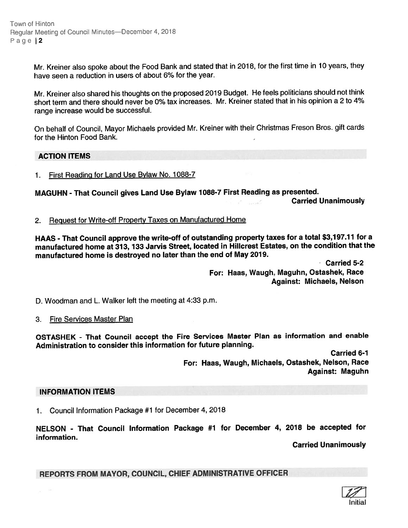Town of Hinton Regular Meeting of Council Minutes-December 4, 2018 Page 2

> Mr. Kreiner also spoke about the Food Bank and stated that in 2018, for the first time in <sup>10</sup> years, they have seen <sup>a</sup> reduction in users of about 6% for the year.

> Mr. Kreiner also shared his thoughts on the propose<sup>d</sup> <sup>2019</sup> Budget. He feels politicians should not think short term and there should never be 0% tax increases. Mr. Kreiner stated that in his opinion <sup>a</sup> 2 to 4% range increase would be successful.

> On behalf of Council, Mayor Michaels provided Mr. Kreiner with their Christmas Freson Bros. <sup>g</sup>ift cards for the Hinton Food Bank.

#### ACTION ITEMS

1. First Reading for Land Use Bylaw No. 1088-7

MAGUHN - That Council gives Land Use Bylaw 1088-7 First Reading as presented.

Carried Unanimously

2. Request for Write-off Property Taxes on Manufactured Home

HAAS - That Council approve the write-off of outstanding property taxes for <sup>a</sup> total \$3,197.17 for <sup>a</sup> manufactured home at 373, <sup>733</sup> Jarvis Street, located in Hillcrest Estates, on the condition that the manufactured home is destroyed no later than the end of May 2019.

> Carried 5-2 For: Haas, Waugh, Maguhn, Ostashek, Race Against: Michaels, Nelson

D. Woodman and L. Walker left the meeting at 4:33 p.m.

#### 3. Fire Services Master Plan

OSTASHEK - That Council accep<sup>t</sup> the Fire Services Master Plan as information and enable Administration to consider this information for future planning.

> Carried 6-1 For: Haas, Waugh, Michaels, Ostashek, Nelson, Race Against: Maguhn

#### INFORMATION ITEMS

1. Council Information Package #1 for December 4, 2018

NELSON - That Council Information Package #1 for December 4, <sup>2078</sup> be accepted for information.

Carried Unanimously

REPORTS FROM MAYOR, COUNCIL, CHIEF ADMINISTRATIVE OFFICER

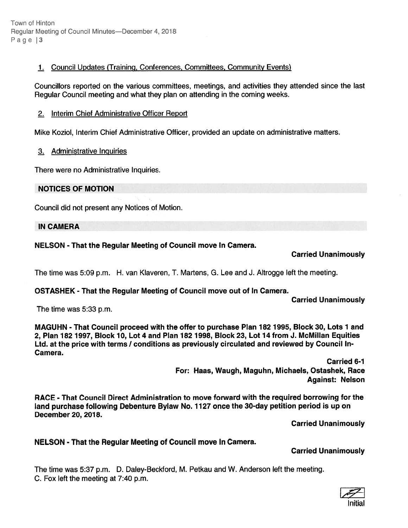Town of Hinton Regular Meeting of Council Minutes—December 4, 2018 Page 13

## 1. Council Updates (Training, Conferences, Committees, Community Events)

Councillors reported on the various committees, meetings, and activities they attended since the last Regular Council meeting and what they plan on attending in the coming weeks.

# 2. Interim Chief Administrative Officer Report

Mike Koziol, Interim Chief Administrative Officer, provided an update on administrative matters.

# 3. Administrative inquiries

There were no Administrative Inquiries.

# NOTICES OF MOTION

Council did not presen<sup>t</sup> any Notices of Motion.

## IN CAMERA

# NELSON -That the Regular Meeting of Council move In Camera.

# Carried Unanimously

The time was 5:09 p.m. H. van Kiaveren, T. Martens, G. Lee and J. Altrogge left the meeting.

# OSTASHEK - That the Regular Meeting of Council move out of In Camera.

Carried Unanimously

The time was 5:33 p.m.

MAGUHN - That Council proceed with the offer to purchase Plan 182 1995, Block 30, Lots 1 and 2, Plan 182 1997, Block 70, Lot 4 and Plan 182 1998, Block 23, Lot 14 from J. McMiIlan Equities Ltd. at the price with terms / conditions as previously circulated and reviewed by Council In-Camera.

> Carried 6-7 For: Haas, Waugh, Maguhn, Michaels, Ostashek, Race Against: Nelson

RACE - That Council Direct Administration to move forward with the required borrowing for the land purchase following Debenture Bylaw No. 1127 once the 30-day petition period is up on December 20, 2078.

Carried Unanimously

# NELSON - That the Regular Meeting of Council move In Camera.

## Carried Unanimously

The time was 5:37 p.m. D. Daley-Beckford, M. Petkau and W. Anderson left the meeting. C. Fox left the meeting at 7:40 p.m.